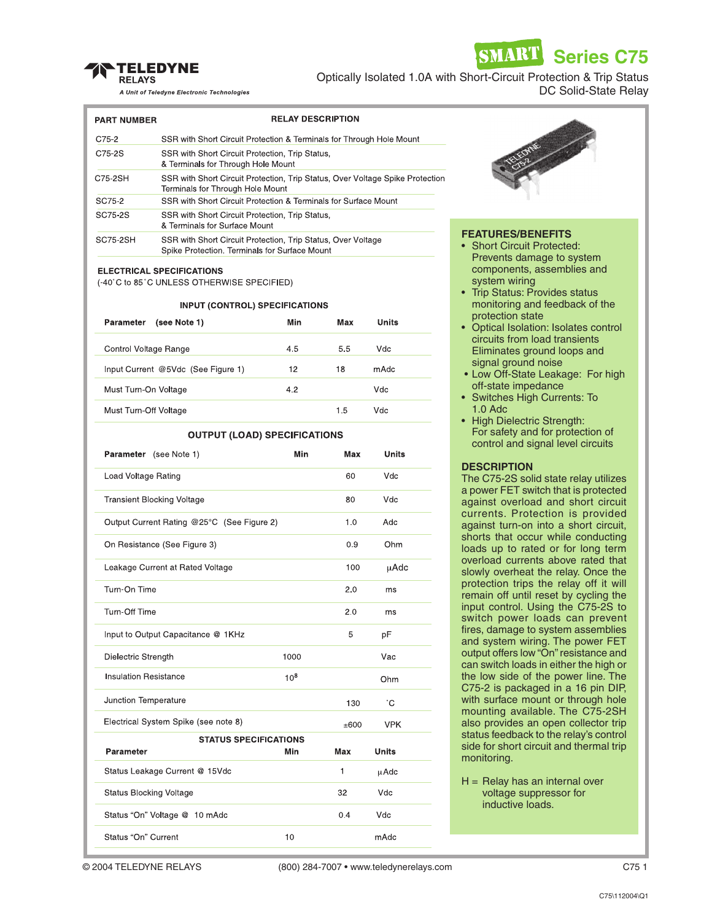

**Series C75**

SMAR'I

A Unit of Teledyne Electronic Technologies

| Optically Isolated 1.0A with Short-Circuit Protection & Trip Status |  |  |                      |  |
|---------------------------------------------------------------------|--|--|----------------------|--|
|                                                                     |  |  | DC Solid-State Relay |  |

| <b>PART NUMBER</b> | <b>RELAY DESCRIPTION</b>                                                                                          |
|--------------------|-------------------------------------------------------------------------------------------------------------------|
| C75-2              | SSR with Short Circuit Protection & Terminals for Through Hole Mount                                              |
| C75-2S             | SSR with Short Circuit Protection, Trip Status,<br>& Terminals for Through Hole Mount                             |
| C75-2SH            | SSR with Short Circuit Protection, Trip Status, Over Voltage Spike Protection<br>Terminals for Through Hole Mount |
| SC75-2             | SSR with Short Circuit Protection & Terminals for Surface Mount                                                   |
| SC75-2S            | SSR with Short Circuit Protection, Trip Status,<br>& Terminals for Surface Mount                                  |
| SC75-2SH           | SSR with Short Circuit Protection, Trip Status, Over Voltage<br>Spike Protection. Terminals for Surface Mount     |

#### **ELECTRICAL SPECIFICATIONS**

(-40°C to 85°C UNLESS OTHERWISE SPECIFIED)

## **INPUT (CONTROL) SPECIFICATIONS**

| (see Note 1)<br>Parameter          | Min | Max | Units |
|------------------------------------|-----|-----|-------|
| Control Voltage Range              | 4.5 | 5.5 | Vdc   |
| Input Current @5Vdc (See Figure 1) | 12  | 18  | mAdc  |
| Must Turn-On Voltage               | 4.2 |     | Vdc   |
| Must Turn-Off Voltage              |     | 1.5 | Vdc   |

### **OUTPUT (LOAD) SPECIFICATIONS**

| Parameter (see Note 1)                     | Min      | Max  | <b>Units</b> |  |  |  |
|--------------------------------------------|----------|------|--------------|--|--|--|
| Load Voltage Rating                        |          | 60   | Vdc          |  |  |  |
| <b>Transient Blocking Voltage</b>          |          | 80   | Vdc          |  |  |  |
| Output Current Rating @25°C (See Figure 2) |          | 1.0  | Adc          |  |  |  |
| On Resistance (See Figure 3)               |          | 0.9  | Ohm          |  |  |  |
| Leakage Current at Rated Voltage           |          | 100  | μAdc         |  |  |  |
| Turn-On Time                               |          | 2.0  | ms           |  |  |  |
| Turn-Off Time                              |          | 2.0  | ms           |  |  |  |
| Input to Output Capacitance @ 1KHz         |          | 5    | pF           |  |  |  |
| Dielectric Strength                        | 1000     |      | Vac          |  |  |  |
| <b>Insulation Resistance</b>               | $10^{8}$ |      | Ohm          |  |  |  |
| Junction Temperature                       |          | 130  | °С           |  |  |  |
| Electrical System Spike (see note 8)       |          | ±600 | <b>VPK</b>   |  |  |  |
| <b>STATUS SPECIFICATIONS</b>               |          |      |              |  |  |  |
| Parameter                                  | Min      | Max  | <b>Units</b> |  |  |  |
| Status Leakage Current @ 15Vdc             |          | 1    | µAdc         |  |  |  |
| <b>Status Blocking Voltage</b>             |          | 32   | Vdc          |  |  |  |
| Status "On" Voltage @ 10 mAdc              |          | 0.4  | Vdc          |  |  |  |
| Status "On" Current                        | 10       |      | mAdc         |  |  |  |



## **FEATURES/BENEFITS**

- Short Circuit Protected: Prevents damage to system components, assemblies and system wiring
- Trip Status: Provides status monitoring and feedback of the protection state
- Optical Isolation: Isolates control circuits from load transients Eliminates ground loops and signal ground noise
- Low Off-State Leakage: For high off-state impedance
- Switches High Currents: To 1.0 Adc
- High Dielectric Strength: For safety and for protection of control and signal level circuits

## **DESCRIPTION**

The C75-2S solid state relay utilizes a power FET switch that is protected against overload and short circuit currents. Protection is provided against turn-on into a short circuit, shorts that occur while conducting loads up to rated or for long term overload currents above rated that slowly overheat the relay. Once the protection trips the relay off it will remain off until reset by cycling the input control. Using the C75-2S to switch power loads can prevent fires, damage to system assemblies and system wiring. The power FET output offers low "On" resistance and can switch loads in either the high or the low side of the power line. The C75-2 is packaged in a 16 pin DIP, with surface mount or through hole mounting available. The C75-2SH also provides an open collector trip status feedback to the relay's control side for short circuit and thermal trip monitoring.

 $H =$  Relay has an internal over voltage suppressor for inductive loads.